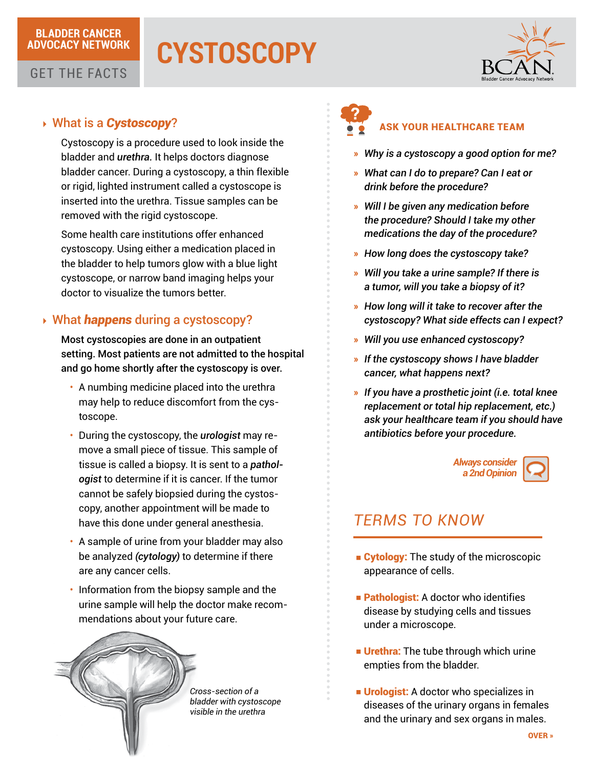### **BLADDER CANCER ADVOCACY NETWORK**

# **CYSTOSCOPY**



### GET THE FACTS

### 4 What is a *Cystoscopy*?

Cystoscopy is a procedure used to look inside the bladder and *urethra.* It helps doctors diagnose bladder cancer. During a cystoscopy, a thin flexible or rigid, lighted instrument called a cystoscope is inserted into the urethra. Tissue samples can be removed with the rigid cystoscope.

Some health care institutions offer enhanced cystoscopy. Using either a medication placed in the bladder to help tumors glow with a blue light cystoscope, or narrow band imaging helps your doctor to visualize the tumors better.

## 4 What *happens* during a cystoscopy?

Most cystoscopies are done in an outpatient setting. Most patients are not admitted to the hospital and go home shortly after the cystoscopy is over.

- A numbing medicine placed into the urethra may help to reduce discomfort from the cystoscope.
- • During the cystoscopy, the *urologist* may remove a small piece of tissue. This sample of tissue is called a biopsy. It is sent to a *pathologist* to determine if it is cancer. If the tumor cannot be safely biopsied during the cystoscopy, another appointment will be made to have this done under general anesthesia.
- A sample of urine from your bladder may also be analyzed *(cytology)* to determine if there are any cancer cells.
- Information from the biopsy sample and the urine sample will help the doctor make recommendations about your future care.



*Cross-section of a bladder with cystoscope visible in the urethra*



### ASK YOUR HEALTHCARE TEAM

- » *Why is a cystoscopy a good option for me?*
- » *What can I do to prepare? Can I eat or drink before the procedure?*
- » *Will I be given any medication before the procedure? Should I take my other medications the day of the procedure?*
- » *How long does the cystoscopy take?*
- » *Will you take a urine sample? If there is a tumor, will you take a biopsy of it?*
- » *How long will it take to recover after the cystoscopy? What side effects can I expect?*
- » *Will you use enhanced cystoscopy?*
- » *If the cystoscopy shows I have bladder cancer, what happens next?*
- » *If you have a prosthetic joint (i.e. total knee replacement or total hip replacement, etc.) ask your healthcare team if you should have antibiotics before your procedure.*



# *TERMS TO KNOW*

- Cytology: The study of the microscopic appearance of cells.
- **Example:** A doctor who identifies disease by studying cells and tissues under a microscope.
- **Urethra:** The tube through which urine empties from the bladder.
- Urologist: A doctor who specializes in diseases of the urinary organs in females and the urinary and sex organs in males.